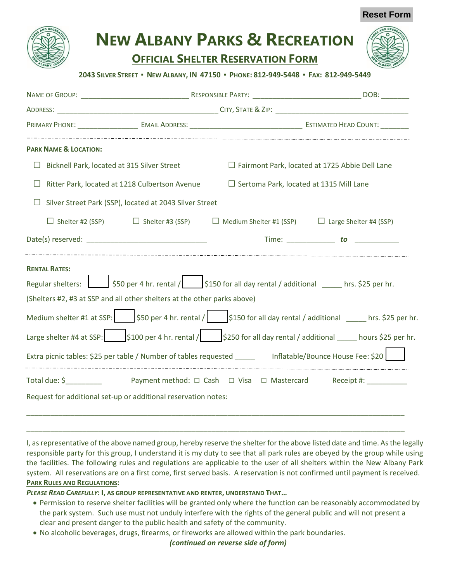| <b>NEW ALBANY PARKS &amp; RECREATION</b> |  |
|------------------------------------------|--|
| <b>OFFICIAL SHELTER RESERVATION FORM</b> |  |

**Reset Form**

## **2043 SILVER STREET ▪ NEW ALBANY, IN 47150 ▪ PHONE: 812-949-5448 ▪ FAX: 812-949-5449**

| <b>PARK NAME &amp; LOCATION:</b>                                                                                                                                                                                                                                                                                                 |  |                                                                                                              |                                                                                                                                                                                                                                                                                                                                                            |  |
|----------------------------------------------------------------------------------------------------------------------------------------------------------------------------------------------------------------------------------------------------------------------------------------------------------------------------------|--|--------------------------------------------------------------------------------------------------------------|------------------------------------------------------------------------------------------------------------------------------------------------------------------------------------------------------------------------------------------------------------------------------------------------------------------------------------------------------------|--|
| Bicknell Park, located at 315 Silver Street<br>⊔                                                                                                                                                                                                                                                                                 |  | $\Box$ Fairmont Park, located at 1725 Abbie Dell Lane                                                        |                                                                                                                                                                                                                                                                                                                                                            |  |
| $\Box$ Sertoma Park, located at 1315 Mill Lane<br>Ritter Park, located at 1218 Culbertson Avenue<br>⊔                                                                                                                                                                                                                            |  |                                                                                                              |                                                                                                                                                                                                                                                                                                                                                            |  |
| Silver Street Park (SSP), located at 2043 Silver Street                                                                                                                                                                                                                                                                          |  |                                                                                                              |                                                                                                                                                                                                                                                                                                                                                            |  |
|                                                                                                                                                                                                                                                                                                                                  |  | $\Box$ Shelter #2 (SSP) $\Box$ Shelter #3 (SSP) $\Box$ Medium Shelter #1 (SSP) $\Box$ Large Shelter #4 (SSP) |                                                                                                                                                                                                                                                                                                                                                            |  |
|                                                                                                                                                                                                                                                                                                                                  |  |                                                                                                              | Time: to the set of the set of the set of the set of the set of the set of the set of the set of the set of the set of the set of the set of the set of the set of the set of the set of the set of the set of the set of the                                                                                                                              |  |
| <b>RENTAL RATES:</b><br>Regular shelters: $\Box$ \$50 per 4 hr. rental / $\vert$ \$150 for all day rental / additional hrs. \$25 per hr.<br>(Shelters #2, #3 at SSP and all other shelters at the other parks above)<br>Extra picnic tables: \$25 per table / Number of tables requested _____ lnflatable/Bounce House Fee: \$20 |  |                                                                                                              | Medium shelter #1 at SSP: $\Box$ \$50 per 4 hr. rental / $\vert$ \$150 for all day rental / additional $\Box$ hrs. \$25 per hr.<br>Large shelter #4 at SSP: $\begin{vmatrix} 5100 \text{ per } 4 \text{ hr.} \text{ mental} / \end{vmatrix}$ = $\begin{vmatrix} 5250 \text{ for all day rental } / \text{ additional } \end{vmatrix}$ = hours \$25 per hr. |  |
| Total due: \$<br>2. Payment method: □ Cash □ Visa □ Mastercard Receipt #: _________                                                                                                                                                                                                                                              |  |                                                                                                              |                                                                                                                                                                                                                                                                                                                                                            |  |
| Request for additional set-up or additional reservation notes:                                                                                                                                                                                                                                                                   |  |                                                                                                              |                                                                                                                                                                                                                                                                                                                                                            |  |

I, as representative of the above named group, hereby reserve the shelter for the above listed date and time. As the legally responsible party for this group, I understand it is my duty to see that all park rules are obeyed by the group while using the facilities. The following rules and regulations are applicable to the user of all shelters within the New Albany Park system. All reservations are on a first come, first served basis. A reservation is not confirmed until payment is received. **PARK RULES AND REGULATIONS:** 

\_\_\_\_\_\_\_\_\_\_\_\_\_\_\_\_\_\_\_\_\_\_\_\_\_\_\_\_\_\_\_\_\_\_\_\_\_\_\_\_\_\_\_\_\_\_\_\_\_\_\_\_\_\_\_\_\_\_\_\_\_\_\_\_\_\_\_\_\_\_\_\_\_\_\_\_\_\_\_\_\_\_\_\_\_\_\_\_\_\_\_\_\_\_

*PLEASE READ CAREFULLY***: I, AS GROUP REPRESENTATIVE AND RENTER, UNDERSTAND THAT…**

- Permission to reserve shelter facilities will be granted only where the function can be reasonably accommodated by the park system. Such use must not unduly interfere with the rights of the general public and will not present a clear and present danger to the public health and safety of the community.
- No alcoholic beverages, drugs, firearms, or fireworks are allowed within the park boundaries.

*(continued on reverse side of form)*